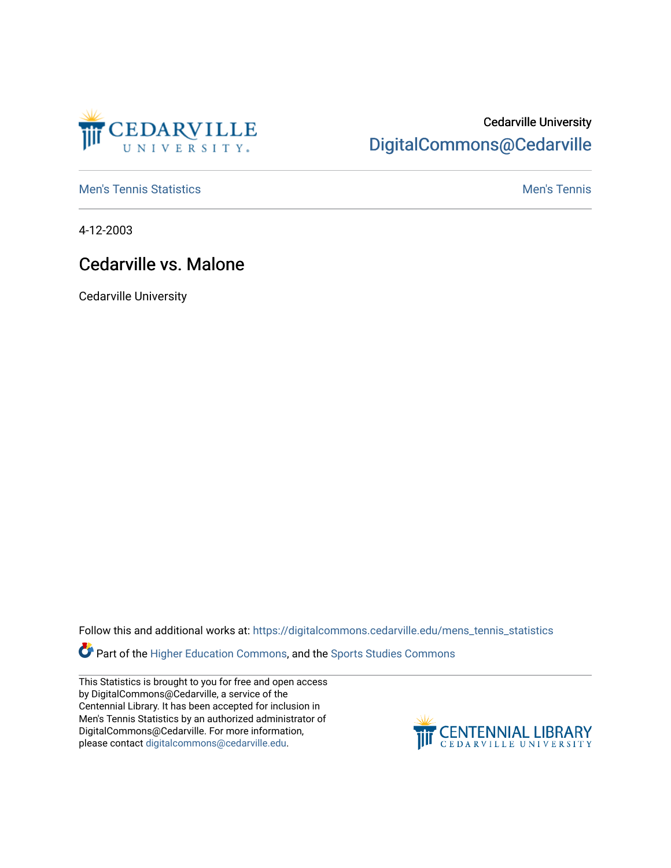

## Cedarville University [DigitalCommons@Cedarville](https://digitalcommons.cedarville.edu/)

**[Men's Tennis Statistics](https://digitalcommons.cedarville.edu/mens_tennis_statistics) Mental According to the Control of Control According Mental Men's Tennis** 

4-12-2003

## Cedarville vs. Malone

Cedarville University

Follow this and additional works at: [https://digitalcommons.cedarville.edu/mens\\_tennis\\_statistics](https://digitalcommons.cedarville.edu/mens_tennis_statistics?utm_source=digitalcommons.cedarville.edu%2Fmens_tennis_statistics%2F537&utm_medium=PDF&utm_campaign=PDFCoverPages)

Part of the [Higher Education Commons,](http://network.bepress.com/hgg/discipline/1245?utm_source=digitalcommons.cedarville.edu%2Fmens_tennis_statistics%2F537&utm_medium=PDF&utm_campaign=PDFCoverPages) and the Sports Studies Commons

This Statistics is brought to you for free and open access by DigitalCommons@Cedarville, a service of the Centennial Library. It has been accepted for inclusion in Men's Tennis Statistics by an authorized administrator of DigitalCommons@Cedarville. For more information, please contact [digitalcommons@cedarville.edu](mailto:digitalcommons@cedarville.edu).